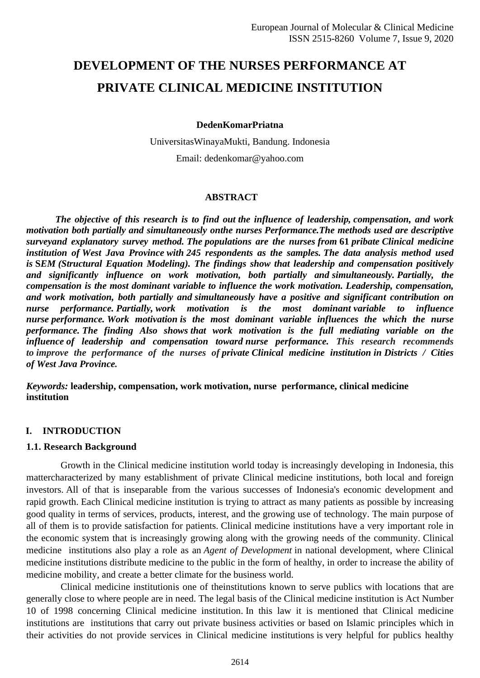# **DEVELOPMENT OF THE NURSES PERFORMANCE AT PRIVATE CLINICAL MEDICINE INSTITUTION**

#### **DedenKomarPriatna**

UniversitasWinayaMukti, Bandung. Indonesia Email: [dedenkomar@yahoo.com](mailto:dedenkomar@yahoo.com)

#### **ABSTRACT**

*The objective of this research is to find out the influence of leadership, compensation, and work motivation both partially and simultaneously onthe nurses Performance.The methods used are descriptive surveyand explanatory survey method. The populations are the nurses from* **61** *pribate Clinical medicine institution of West Java Province with 245 respondents as the samples. The data analysis method used is* **S***EM (Structural Equation Modeling). The findings show that leadership and compensation positively and significantly influence on work motivation, both partially and simultaneously. Partially, the compensation is the most dominant variable to influence the work motivation. Leadership, compensation, and work motivation, both partially and simultaneously have a positive and significant contribution on nurse performance. Partially, work motivation is the most dominant variable to influence nurse performance. Work motivation is the most dominant variable influences the which the nurse performance. The finding Also shows that work motivation is the full mediating variable on the influence of leadership and compensation toward nurse performance. This research recommends to improve the performance of the nurses of private Clinical medicine institution in Districts / Cities of West Java Province.*

## *Keywords:* **leadership, compensation, work motivation, nurse performance, clinical medicine institution**

## **I. INTRODUCTION**

#### **1.1. Research Background**

Growth in the Clinical medicine institution world today is increasingly developing in Indonesia, this mattercharacterized by many establishment of private Clinical medicine institutions, both local and foreign investors. All of that is inseparable from the various successes of Indonesia's economic development and rapid growth. Each Clinical medicine institution is trying to attract as many patients as possible by increasing good quality in terms of services, products, interest, and the growing use of technology. The main purpose of all of them is to provide satisfaction for patients. Clinical medicine institutions have a very important role in the economic system that is increasingly growing along with the growing needs of the community. Clinical medicine institutions also play a role as an *Agent of Development* in national development, where Clinical medicine institutions distribute medicine to the public in the form of healthy, in order to increase the ability of medicine mobility, and create a better climate for the business world.

Clinical medicine institutionis one of theinstitutions known to serve publics with locations that are generally close to where people are in need. The legal basis of the Clinical medicine institution is Act Number 10 of 1998 concerning Clinical medicine institution. In this law it is mentioned that Clinical medicine institutions are institutions that carry out private business activities or based on Islamic principles which in their activities do not provide services in Clinical medicine institutions is very helpful for publics healthy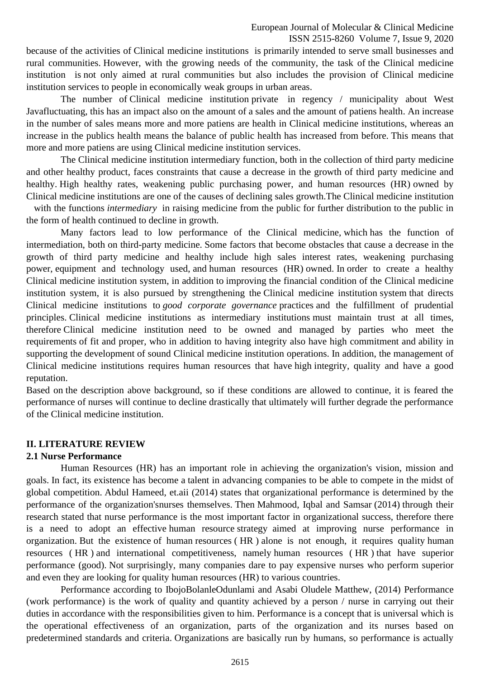because of the activities of Clinical medicine institutions is primarily intended to serve small businesses and rural communities. However, with the growing needs of the community, the task of the Clinical medicine institution is not only aimed at rural communities but also includes the provision of Clinical medicine institution services to people in economically weak groups in urban areas.

The number of Clinical medicine institution private in regency / municipality about West Javafluctuating, this has an impact also on the amount of a sales and the amount of patiens health. An increase in the number of sales means more and more patiens are health in Clinical medicine institutions, whereas an increase in the publics health means the balance of public health has increased from before. This means that more and more patiens are using Clinical medicine institution services.

The Clinical medicine institution intermediary function, both in the collection of third party medicine and other healthy product, faces constraints that cause a decrease in the growth of third party medicine and healthy. High healthy rates, weakening public purchasing power, and human resources (HR) owned by Clinical medicine institutions are one of the causes of declining sales growth.The Clinical medicine institution

with the functions *intermediary* in raising medicine from the public for further distribution to the public in the form of health continued to decline in growth.

Many factors lead to low performance of the Clinical medicine, which has the function of intermediation, both on third-party medicine. Some factors that become obstacles that cause a decrease in the growth of third party medicine and healthy include high sales interest rates, weakening purchasing power, equipment and technology used, and human resources (HR) owned. In order to create a healthy Clinical medicine institution system, in addition to improving the financial condition of the Clinical medicine institution system, it is also pursued by strengthening the Clinical medicine institution system that directs Clinical medicine institutions to *good corporate governance* practices and the fulfillment of prudential principles. Clinical medicine institutions as intermediary institutions must maintain trust at all times, therefore Clinical medicine institution need to be owned and managed by parties who meet the requirements of fit and proper, who in addition to having integrity also have high commitment and ability in supporting the development of sound Clinical medicine institution operations. In addition, the management of Clinical medicine institutions requires human resources that have high integrity, quality and have a good reputation.

Based on the description above background, so if these conditions are allowed to continue, it is feared the performance of nurses will continue to decline drastically that ultimately will further degrade the performance of the Clinical medicine institution.

## **II. LITERATURE REVIEW**

# **2.1 Nurse Performance**

Human Resources (HR) has an important role in achieving the organization's vision, mission and goals. In fact, its existence has become a talent in advancing companies to be able to compete in the midst of global competition. Abdul Hameed, et.aii (2014) states that organizational performance is determined by the performance of the organization'snurses themselves. Then Mahmood, Iqbal and Samsar (2014) through their research stated that nurse performance is the most important factor in organizational success, therefore there is a need to adopt an effective human resource strategy aimed at improving nurse performance in organization. But the existence of human resources ( HR ) alone is not enough, it requires quality human resources ( HR ) and international competitiveness, namely human resources ( HR ) that have superior performance (good). Not surprisingly, many companies dare to pay expensive nurses who perform superior and even they are looking for quality human resources (HR) to various countries.

Performance according to IbojoBolanleOdunlami and Asabi Oludele Matthew, (2014) Performance (work performance) is the work of quality and quantity achieved by a person / nurse in carrying out their duties in accordance with the responsibilities given to him. Performance is a concept that is universal which is the operational effectiveness of an organization, parts of the organization and its nurses based on predetermined standards and criteria. Organizations are basically run by humans, so performance is actually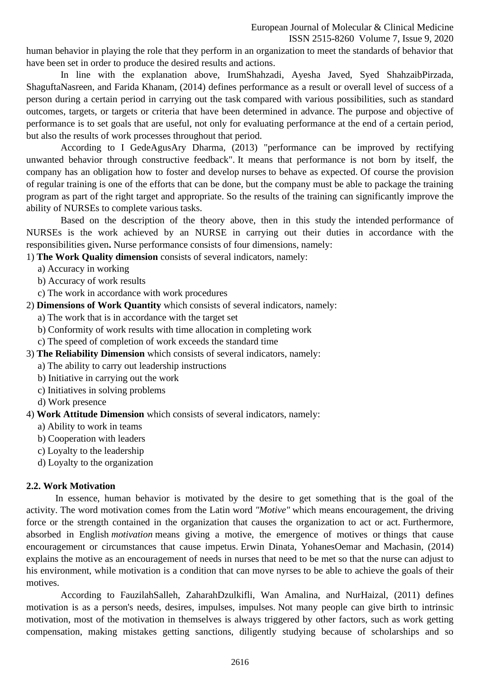European Journal of Molecular & Clinical Medicine ISSN 2515-8260 Volume 7, Issue 9, 2020

human behavior in playing the role that they perform in an organization to meet the standards of behavior that have been set in order to produce the desired results and actions.

In line with the explanation above, IrumShahzadi, Ayesha Javed, Syed ShahzaibPirzada, ShaguftaNasreen, and Farida Khanam, (2014) defines performance as a result or overall level of success of a person during a certain period in carrying out the task compared with various possibilities, such as standard outcomes, targets, or targets or criteria that have been determined in advance. The purpose and objective of performance is to set goals that are useful, not only for evaluating performance at the end of a certain period, but also the results of work processes throughout that period.

According to I GedeAgusAry Dharma, (2013) "performance can be improved by rectifying unwanted behavior through constructive feedback". It means that performance is not born by itself, the company has an obligation how to foster and develop nurses to behave as expected. Of course the provision of regular training is one of the efforts that can be done, but the company must be able to package the training program as part of the right target and appropriate. So the results of the training can significantly improve the ability of NURSEs to complete various tasks.

Based on the description of the theory above, then in this study the intended performance of NURSEs is the work achieved by an NURSE in carrying out their duties in accordance with the responsibilities given**.** Nurse performance consists of four dimensions, namely:

1) **The Work Quality dimension** consists of several indicators, namely:

- a) Accuracy in working
- b) Accuracy of work results
- c) The work in accordance with work procedures
- 2) **Dimensions of Work Quantity** which consists of several indicators, namely:
	- a) The work that is in accordance with the target set
	- b) Conformity of work results with time allocation in completing work
	- c) The speed of completion of work exceeds the standard time
- 3) **The Reliability Dimension** which consists of several indicators, namely:
	- a) The ability to carry out leadership instructions
	- b) Initiative in carrying out the work
	- c) Initiatives in solving problems
	- d) Work presence

4) **Work Attitude Dimension** which consists of several indicators, namely:

- a) Ability to work in teams
- b) Cooperation with leaders
- c) Loyalty to the leadership
- d) Loyalty to the organization

#### **2.2. Work Motivation**

In essence, human behavior is motivated by the desire to get something that is the goal of the activity. The word motivation comes from the Latin word *"Motive"* which means encouragement, the driving force or the strength contained in the organization that causes the organization to act or act. Furthermore, absorbed in English *motivation* means giving a motive, the emergence of motives or things that cause encouragement or circumstances that cause impetus. Erwin Dinata, YohanesOemar and Machasin, (2014) explains the motive as an encouragement of needs in nurses that need to be met so that the nurse can adjust to his environment, while motivation is a condition that can move nyrses to be able to achieve the goals of their motives.

According to FauzilahSalleh, ZaharahDzulkifli, Wan Amalina, and NurHaizal, (2011) defines motivation is as a person's needs, desires, impulses, impulses. Not many people can give birth to intrinsic motivation, most of the motivation in themselves is always triggered by other factors, such as work getting compensation, making mistakes getting sanctions, diligently studying because of scholarships and so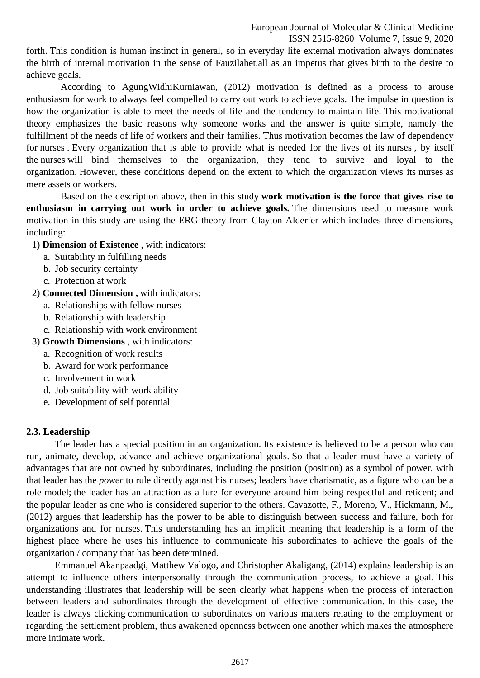European Journal of Molecular & Clinical Medicine

ISSN 2515-8260 Volume 7, Issue 9, 2020

forth. This condition is human instinct in general, so in everyday life external motivation always dominates the birth of internal motivation in the sense of Fauzilahet.all as an impetus that gives birth to the desire to achieve goals.

According to AgungWidhiKurniawan, (2012) motivation is defined as a process to arouse enthusiasm for work to always feel compelled to carry out work to achieve goals. The impulse in question is how the organization is able to meet the needs of life and the tendency to maintain life. This motivational theory emphasizes the basic reasons why someone works and the answer is quite simple, namely the fulfillment of the needs of life of workers and their families. Thus motivation becomes the law of dependency for nurses . Every organization that is able to provide what is needed for the lives of its nurses , by itself the nurses will bind themselves to the organization, they tend to survive and loyal to the organization. However, these conditions depend on the extent to which the organization views its nurses as mere assets or workers.

Based on the description above, then in this study **work motivation is the force that gives rise to enthusiasm in carrying out work in order to achieve goals.** The dimensions used to measure work motivation in this study are using the ERG theory from Clayton Alderfer which includes three dimensions, including:

- 1) **Dimension of Existence** , with indicators:
	- a. Suitability in fulfilling needs
	- b. Job security certainty
	- c. Protection at work
- 2) **Connected Dimension ,** with indicators:
	- a. Relationships with fellow nurses
	- b. Relationship with leadership
	- c. Relationship with work environment
- 3) **Growth Dimensions** , with indicators:
	- a. Recognition of work results
	- b. Award for work performance
	- c. Involvement in work
	- d. Job suitability with work ability
	- e. Development of self potential

# **2.3. Leadership**

The leader has a special position in an organization. Its existence is believed to be a person who can run, animate, develop, advance and achieve organizational goals. So that a leader must have a variety of advantages that are not owned by subordinates, including the position (position) as a symbol of power, with that leader has the *power* to rule directly against his nurses; leaders have charismatic, as a figure who can be a role model; the leader has an attraction as a lure for everyone around him being respectful and reticent; and the popular leader as one who is considered superior to the others. Cavazotte, F., Moreno, V., Hickmann, M., (2012) argues that leadership has the power to be able to distinguish between success and failure, both for organizations and for nurses. This understanding has an implicit meaning that leadership is a form of the highest place where he uses his influence to communicate his subordinates to achieve the goals of the organization / company that has been determined.

Emmanuel Akanpaadgi, Matthew Valogo, and Christopher Akaligang, (2014) explains leadership is an attempt to influence others interpersonally through the communication process, to achieve a goal. This understanding illustrates that leadership will be seen clearly what happens when the process of interaction between leaders and subordinates through the development of effective communication. In this case, the leader is always clicking communication to subordinates on various matters relating to the employment or regarding the settlement problem, thus awakened openness between one another which makes the atmosphere more intimate work.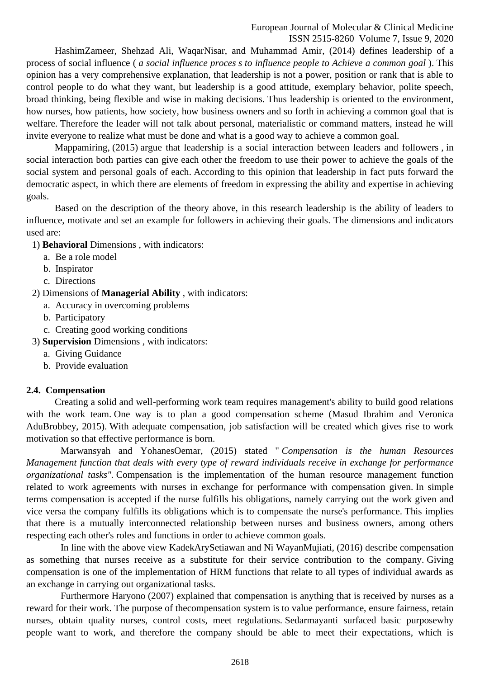HashimZameer, Shehzad Ali, WaqarNisar, and Muhammad Amir, (2014) defines leadership of a process of social influence ( *a social influence proces s to influence people to Achieve a common goal* ). This opinion has a very comprehensive explanation, that leadership is not a power, position or rank that is able to control people to do what they want, but leadership is a good attitude, exemplary behavior, polite speech, broad thinking, being flexible and wise in making decisions. Thus leadership is oriented to the environment, how nurses, how patients, how society, how business owners and so forth in achieving a common goal that is welfare. Therefore the leader will not talk about personal, materialistic or command matters, instead he will invite everyone to realize what must be done and what is a good way to achieve a common goal.

Mappamiring, (2015) argue that leadership is a social interaction between leaders and followers , in social interaction both parties can give each other the freedom to use their power to achieve the goals of the social system and personal goals of each. According to this opinion that leadership in fact puts forward the democratic aspect, in which there are elements of freedom in expressing the ability and expertise in achieving goals.

Based on the description of the theory above, in this research leadership is the ability of leaders to influence, motivate and set an example for followers in achieving their goals. The dimensions and indicators used are:

- 1) **Behavioral** Dimensions , with indicators:
	- a. Be a role model
	- b. Inspirator
	- c. Directions
- 2) Dimensions of **Managerial Ability** , with indicators:
	- a. Accuracy in overcoming problems
	- b. Participatory
	- c. Creating good working conditions
- 3) **Supervision** Dimensions , with indicators:
	- a. Giving Guidance
	- b. Provide evaluation

## **2.4. Compensation**

Creating a solid and well-performing work team requires management's ability to build good relations with the work team. One way is to plan a good compensation scheme (Masud Ibrahim and Veronica AduBrobbey, 2015). With adequate compensation, job satisfaction will be created which gives rise to work motivation so that effective performance is born.

Marwansyah and YohanesOemar, (2015) stated " *Compensation is the human Resources Management function that deals with every type of reward individuals receive in exchange for performance organizational tasks".* Compensation is the implementation of the human resource management function related to work agreements with nurses in exchange for performance with compensation given. In simple terms compensation is accepted if the nurse fulfills his obligations, namely carrying out the work given and vice versa the company fulfills its obligations which is to compensate the nurse's performance. This implies that there is a mutually interconnected relationship between nurses and business owners, among others respecting each other's roles and functions in order to achieve common goals.

In line with the above view KadekArySetiawan and Ni WayanMujiati, (2016) describe compensation as something that nurses receive as a substitute for their service contribution to the company. Giving compensation is one of the implementation of HRM functions that relate to all types of individual awards as an exchange in carrying out organizational tasks.

Furthermore Haryono (2007) explained that compensation is anything that is received by nurses as a reward for their work. The purpose of thecompensation system is to value performance, ensure fairness, retain nurses, obtain quality nurses, control costs, meet regulations. Sedarmayanti surfaced basic purposewhy people want to work, and therefore the company should be able to meet their expectations, which is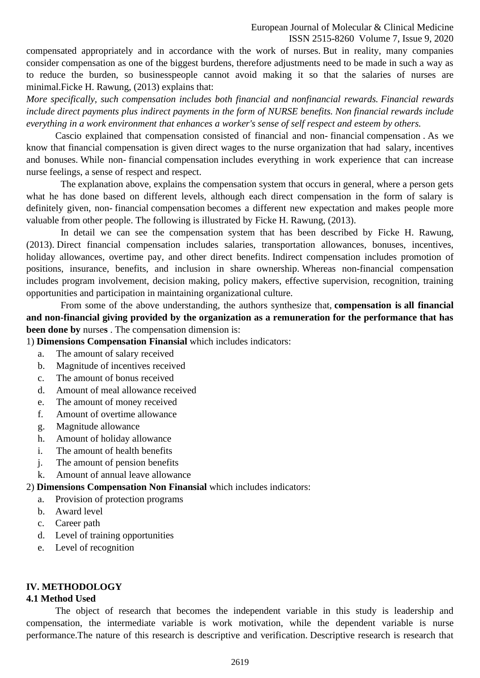compensated appropriately and in accordance with the work of nurses. But in reality, many companies consider compensation as one of the biggest burdens, therefore adjustments need to be made in such a way as to reduce the burden, so businesspeople cannot avoid making it so that the salaries of nurses are minimal.Ficke H. Rawung, (2013) explains that:

*More specifically, such compensation includes both financial and nonfinancial rewards. Financial rewards include direct payments plus indirect payments in the form of NURSE benefits. Non financial rewards include everything in a work environment that enhances a worker's sense of self respect and esteem by others.*

Cascio explained that compensation consisted of financial and non- financial compensation . As we know that financial compensation is given direct wages to the nurse organization that had salary, incentives and bonuses. While non- financial compensation includes everything in work experience that can increase nurse feelings, a sense of respect and respect.

The explanation above, explains the compensation system that occurs in general, where a person gets what he has done based on different levels, although each direct compensation in the form of salary is definitely given, non- financial compensation becomes a different new expectation and makes people more valuable from other people. The following is illustrated by Ficke H. Rawung, (2013).

In detail we can see the compensation system that has been described by Ficke H. Rawung, (2013). Direct financial compensation includes salaries, transportation allowances, bonuses, incentives, holiday allowances, overtime pay, and other direct benefits. Indirect compensation includes promotion of positions, insurance, benefits, and inclusion in share ownership. Whereas non-financial compensation includes program involvement, decision making, policy makers, effective supervision, recognition, training opportunities and participation in maintaining organizational culture.

From some of the above understanding, the authors synthesize that, **compensation is all financial and non-financial giving provided by the organization as a remuneration for the performance that has been done by** nurse**s** . The compensation dimension is:

1) **Dimensions Compensation Finansial** which includes indicators:

- a. The amount of salary received
- b. Magnitude of incentives received
- c. The amount of bonus received
- d. Amount of meal allowance received
- e. The amount of money received
- f. Amount of overtime allowance
- g. Magnitude allowance
- h. Amount of holiday allowance
- i. The amount of health benefits
- j. The amount of pension benefits
- k. Amount of annual leave allowance

2) **Dimensions Compensation Non Finansial** which includes indicators:

- a. Provision of protection programs
- b. Award level
- c. Career path
- d. Level of training opportunities
- e. Level of recognition

# **IV. METHODOLOGY**

# **4.1 Method Used**

The object of research that becomes the independent variable in this study is leadership and compensation, the intermediate variable is work motivation, while the dependent variable is nurse performance.The nature of this research is descriptive and verification. Descriptive research is research that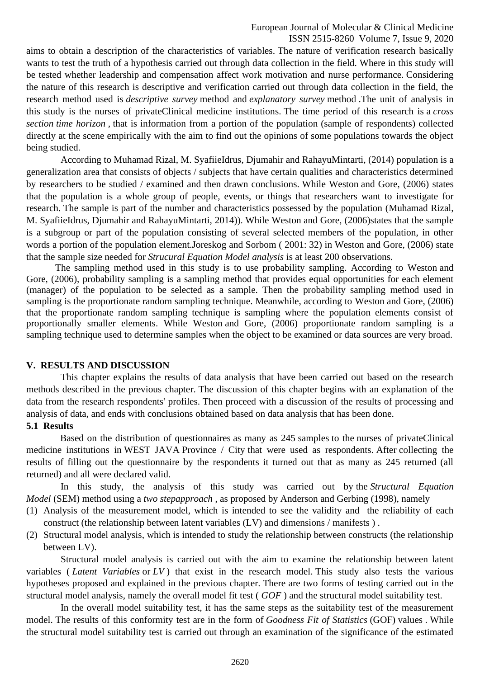aims to obtain a description of the characteristics of variables. The nature of verification research basically wants to test the truth of a hypothesis carried out through data collection in the field. Where in this study will be tested whether leadership and compensation affect work motivation and nurse performance. Considering the nature of this research is descriptive and verification carried out through data collection in the field, the research method used is *descriptive survey* method and *explanatory survey* method .The unit of analysis in this study is the nurses of privateClinical medicine institutions. The time period of this research is a *cross section time horizon ,* that is information from a portion of the population (sample of respondents) collected directly at the scene empirically with the aim to find out the opinions of some populations towards the object being studied.

According to Muhamad Rizal, M. SyafiieIdrus, Djumahir and RahayuMintarti, (2014) population is a generalization area that consists of objects / subjects that have certain qualities and characteristics determined by researchers to be studied / examined and then drawn conclusions. While Weston and Gore, (2006) states that the population is a whole group of people, events, or things that researchers want to investigate for research. The sample is part of the number and characteristics possessed by the population (Muhamad Rizal, M. SyafiieIdrus, Djumahir and RahayuMintarti, 2014)). While Weston and Gore, (2006)states that the sample is a subgroup or part of the population consisting of several selected members of the population, in other words a portion of the population element.Joreskog and Sorbom ( 2001: 32) in Weston and Gore, (2006) state that the sample size needed for *Strucural Equation Model analysis* is at least 200 observations.

The sampling method used in this study is to use probability sampling. According to Weston and Gore, (2006), probability sampling is a sampling method that provides equal opportunities for each element (manager) of the population to be selected as a sample. Then the probability sampling method used in sampling is the proportionate random sampling technique. Meanwhile, according to Weston and Gore, (2006) that the proportionate random sampling technique is sampling where the population elements consist of proportionally smaller elements. While Weston and Gore, (2006) proportionate random sampling is a sampling technique used to determine samples when the object to be examined or data sources are very broad.

## **V. RESULTS AND DISCUSSION**

This chapter explains the results of data analysis that have been carried out based on the research methods described in the previous chapter. The discussion of this chapter begins with an explanation of the data from the research respondents' profiles. Then proceed with a discussion of the results of processing and analysis of data, and ends with conclusions obtained based on data analysis that has been done.

## **5.1 Results**

 Based on the distribution of questionnaires as many as 245 samples to the nurses of privateClinical medicine institutions in WEST JAVA Province / City that were used as respondents. After collecting the results of filling out the questionnaire by the respondents it turned out that as many as 245 returned (all returned) and all were declared valid.

In this study, the analysis of this study was carried out by the *Structural Equation Model* (SEM) method using a *two stepapproach* , as proposed by Anderson and Gerbing (1998), namely

- (1) Analysis of the measurement model, which is intended to see the validity and the reliability of each construct (the relationship between latent variables (LV) and dimensions / manifests ) .
- (2) Structural model analysis, which is intended to study the relationship between constructs (the relationship between LV).

Structural model analysis is carried out with the aim to examine the relationship between latent variables ( *Latent Variables* or *LV* ) that exist in the research model. This study also tests the various hypotheses proposed and explained in the previous chapter. There are two forms of testing carried out in the structural model analysis, namely the overall model fit test ( *GOF* ) and the structural model suitability test.

In the overall model suitability test, it has the same steps as the suitability test of the measurement model. The results of this conformity test are in the form of *Goodness Fit of Statistics* (GOF) values . While the structural model suitability test is carried out through an examination of the significance of the estimated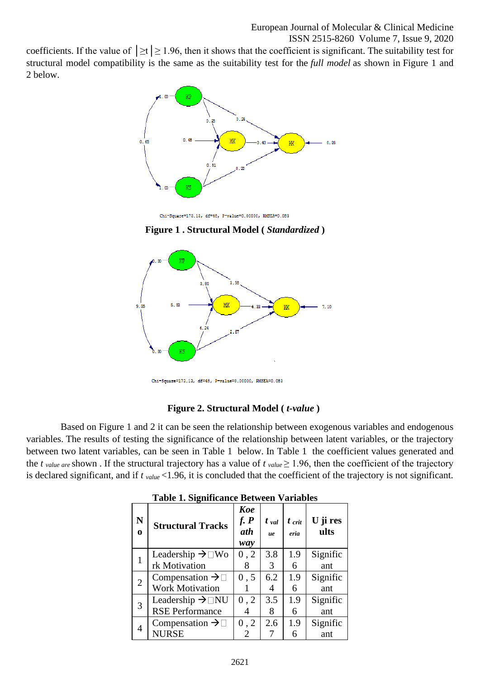coefficients. If the value of  $|\geq t| \geq 1.96$ , then it shows that the coefficient is significant. The suitability test for structural model compatibility is the same as the suitability test for the *full model* as shown in Figure 1 and 2 below.



Chi-Square=173.13, df=48, P-value=0.00000, RMSEA=0.083

**Figure 1 . Structural Model (** *Standardized* **)**



Chi-Square=173.13, df=48, P-value=0.00000, RMSEA=0.083

#### **Figure 2. Structural Model (** *t-value* **)**

Based on Figure 1 and 2 it can be seen the relationship between exogenous variables and endogenous variables. The results of testing the significance of the relationship between latent variables, or the trajectory between two latent variables, can be seen in Table 1 below. In Table 1 the coefficient values generated and the  $t$  *value are* shown. If the structural trajectory has a value of  $t$  *value*  $\geq$  1.96, then the coefficient of the trajectory is declared significant, and if *t value* <1.96, it is concluded that the coefficient of the trajectory is not significant.

| N<br>$\bf{0}$  | <b>Structural Tracks</b>                                   | <b>Koe</b><br>$f \cdot P$<br>ath<br>way | t <sub>val</sub><br>ue | $t_{\text{crit}}$<br>eria | U ji res<br>ults |
|----------------|------------------------------------------------------------|-----------------------------------------|------------------------|---------------------------|------------------|
| $\mathbf{1}$   | Leadership $\rightarrow \Box$ Wo<br>rk Motivation          | 0, 2<br>8                               | 3.8<br>3               | 1.9<br>6                  | Signific<br>ant  |
| $\overline{2}$ | Compensation $\rightarrow \Box$<br><b>Work Motivation</b>  | 0, 5                                    | 6.2<br>4               | 1.9<br>6                  | Signific<br>ant  |
| 3              | Leadership $\rightarrow \Box$ NU<br><b>RSE Performance</b> | 0, 2                                    | 3.5<br>8               | 1.9<br>6                  | Signific<br>ant  |
| 4              | Compensation $\rightarrow \Box$<br><b>NURSE</b>            | 0, 2<br>2                               | 2.6                    | 1.9<br>6                  | Signific<br>ant  |

**Table 1. Significance Between Variables**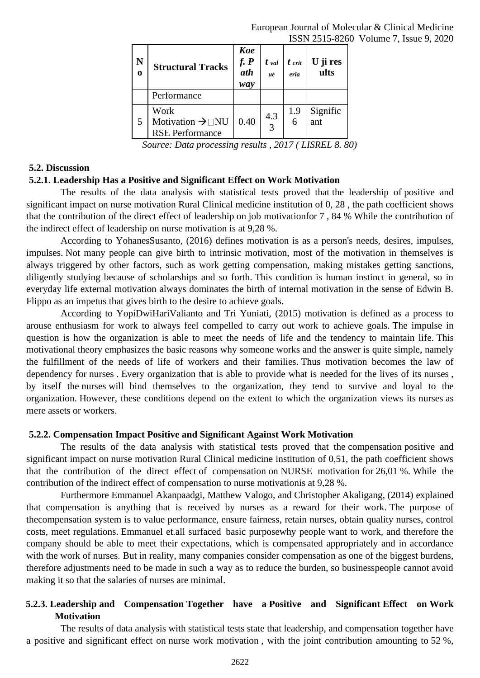| N<br>$\mathbf 0$ | <b>Structural Tracks</b>                                           | Koe<br>$f. P$<br>ath<br>way | t <sub>val</sub><br>ue | $t$ crit<br>eria | U ji res<br>ults |
|------------------|--------------------------------------------------------------------|-----------------------------|------------------------|------------------|------------------|
|                  | Performance                                                        |                             |                        |                  |                  |
| 5                | Work<br>Motivation $\rightarrow \Box$ NU<br><b>RSE Performance</b> | 0.40                        | 4.3<br>3               | 1.9<br>6         | Signific<br>ant  |

*Source: Data processing results , 2017 ( LISREL 8. 80)*

# **5.2. Discussion**

# **5.2.1. Leadership Has a Positive and Significant Effect on Work Motivation**

The results of the data analysis with statistical tests proved that the leadership of positive and significant impact on nurse motivation Rural Clinical medicine institution of 0, 28 , the path coefficient shows that the contribution of the direct effect of leadership on job motivationfor 7 , 84 % While the contribution of the indirect effect of leadership on nurse motivation is at 9,28 %.

According to YohanesSusanto, (2016) defines motivation is as a person's needs, desires, impulses, impulses. Not many people can give birth to intrinsic motivation, most of the motivation in themselves is always triggered by other factors, such as work getting compensation, making mistakes getting sanctions, diligently studying because of scholarships and so forth. This condition is human instinct in general, so in everyday life external motivation always dominates the birth of internal motivation in the sense of Edwin B. Flippo as an impetus that gives birth to the desire to achieve goals.

According to YopiDwiHariValianto and Tri Yuniati, (2015) motivation is defined as a process to arouse enthusiasm for work to always feel compelled to carry out work to achieve goals. The impulse in question is how the organization is able to meet the needs of life and the tendency to maintain life. This motivational theory emphasizes the basic reasons why someone works and the answer is quite simple, namely the fulfillment of the needs of life of workers and their families. Thus motivation becomes the law of dependency for nurses . Every organization that is able to provide what is needed for the lives of its nurses , by itself the nurses will bind themselves to the organization, they tend to survive and loyal to the organization. However, these conditions depend on the extent to which the organization views its nurses as mere assets or workers.

# **5.2.2. Compensation Impact Positive and Significant Against Work Motivation**

The results of the data analysis with statistical tests proved that the compensation positive and significant impact on nurse motivation Rural Clinical medicine institution of 0,51, the path coefficient shows that the contribution of the direct effect of compensation on NURSE motivation for 26,01 %. While the contribution of the indirect effect of compensation to nurse motivationis at 9,28 %.

Furthermore Emmanuel Akanpaadgi, Matthew Valogo, and Christopher Akaligang, (2014) explained that compensation is anything that is received by nurses as a reward for their work. The purpose of thecompensation system is to value performance, ensure fairness, retain nurses, obtain quality nurses, control costs, meet regulations. Emmanuel et.all surfaced basic purposewhy people want to work, and therefore the company should be able to meet their expectations, which is compensated appropriately and in accordance with the work of nurses. But in reality, many companies consider compensation as one of the biggest burdens, therefore adjustments need to be made in such a way as to reduce the burden, so businesspeople cannot avoid making it so that the salaries of nurses are minimal.

# **5.2.3. Leadership and Compensation Together have a Positive and Significant Effect on Work Motivation**

The results of data analysis with statistical tests state that leadership, and compensation together have a positive and significant effect on nurse work motivation , with the joint contribution amounting to 52 %,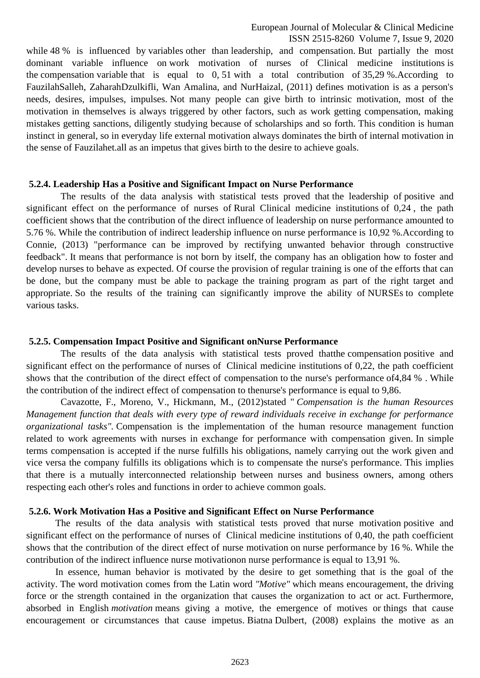while 48 % is influenced by variables other than leadership, and compensation. But partially the most dominant variable influence on work motivation of nurses of Clinical medicine institutions is the compensation variable that is equal to 0, 51 with a total contribution of 35,29 %.According to FauzilahSalleh, ZaharahDzulkifli, Wan Amalina, and NurHaizal, (2011) defines motivation is as a person's needs, desires, impulses, impulses. Not many people can give birth to intrinsic motivation, most of the motivation in themselves is always triggered by other factors, such as work getting compensation, making mistakes getting sanctions, diligently studying because of scholarships and so forth. This condition is human instinct in general, so in everyday life external motivation always dominates the birth of internal motivation in the sense of Fauzilahet.all as an impetus that gives birth to the desire to achieve goals.

#### **5.2.4. Leadership Has a Positive and Significant Impact on Nurse Performance**

The results of the data analysis with statistical tests proved that the leadership of positive and significant effect on the performance of nurses of Rural Clinical medicine institutions of 0,24 , the path coefficient shows that the contribution of the direct influence of leadership on nurse performance amounted to 5.76 %. While the contribution of indirect leadership influence on nurse performance is 10,92 %.According to Connie, (2013) "performance can be improved by rectifying unwanted behavior through constructive feedback". It means that performance is not born by itself, the company has an obligation how to foster and develop nurses to behave as expected. Of course the provision of regular training is one of the efforts that can be done, but the company must be able to package the training program as part of the right target and appropriate. So the results of the training can significantly improve the ability of NURSEs to complete various tasks.

## **5.2.5. Compensation Impact Positive and Significant onNurse Performance**

The results of the data analysis with statistical tests proved thatthe compensation positive and significant effect on the performance of nurses of Clinical medicine institutions of 0,22, the path coefficient shows that the contribution of the direct effect of compensation to the nurse's performance of4,84 % . While the contribution of the indirect effect of compensation to thenurse's performance is equal to 9,86.

Cavazotte, F., Moreno, V., Hickmann, M., (2012)stated " *Compensation is the human Resources Management function that deals with every type of reward individuals receive in exchange for performance organizational tasks".* Compensation is the implementation of the human resource management function related to work agreements with nurses in exchange for performance with compensation given. In simple terms compensation is accepted if the nurse fulfills his obligations, namely carrying out the work given and vice versa the company fulfills its obligations which is to compensate the nurse's performance. This implies that there is a mutually interconnected relationship between nurses and business owners, among others respecting each other's roles and functions in order to achieve common goals.

## **5.2.6. Work Motivation Has a Positive and Significant Effect on Nurse Performance**

The results of the data analysis with statistical tests proved that nurse motivation positive and significant effect on the performance of nurses of Clinical medicine institutions of 0,40, the path coefficient shows that the contribution of the direct effect of nurse motivation on nurse performance by 16 %. While the contribution of the indirect influence nurse motivationon nurse performance is equal to 13,91 %.

In essence, human behavior is motivated by the desire to get something that is the goal of the activity. The word motivation comes from the Latin word *"Motive"* which means encouragement, the driving force or the strength contained in the organization that causes the organization to act or act. Furthermore, absorbed in English *motivation* means giving a motive, the emergence of motives or things that cause encouragement or circumstances that cause impetus. Biatna Dulbert, (2008) explains the motive as an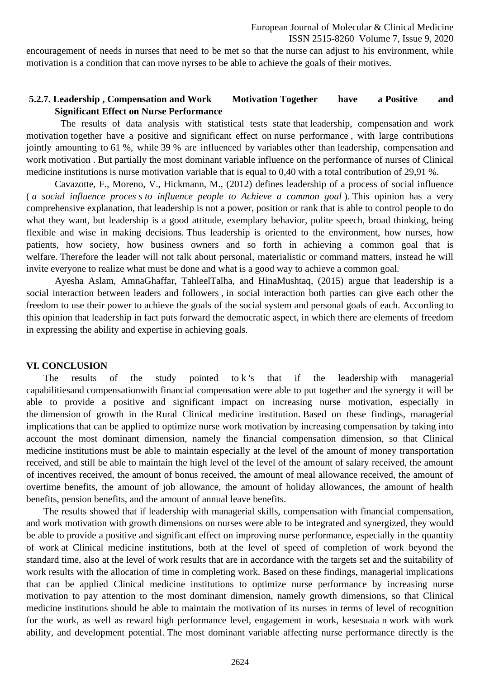encouragement of needs in nurses that need to be met so that the nurse can adjust to his environment, while motivation is a condition that can move nyrses to be able to achieve the goals of their motives.

# **5.2.7. Leadership , Compensation and Work Motivation Together have a Positive and Significant Effect on Nurse Performance**

The results of data analysis with statistical tests state that leadership, compensation and work motivation together have a positive and significant effect on nurse performance , with large contributions jointly amounting to 61 %, while 39 % are influenced by variables other than leadership, compensation and work motivation . But partially the most dominant variable influence on the performance of nurses of Clinical medicine institutions is nurse motivation variable that is equal to 0,40 with a total contribution of 29,91 %.

Cavazotte, F., Moreno, V., Hickmann, M., (2012) defines leadership of a process of social influence ( *a social influence proces s to influence people to Achieve a common goal* ). This opinion has a very comprehensive explanation, that leadership is not a power, position or rank that is able to control people to do what they want, but leadership is a good attitude, exemplary behavior, polite speech, broad thinking, being flexible and wise in making decisions. Thus leadership is oriented to the environment, how nurses, how patients, how society, how business owners and so forth in achieving a common goal that is welfare. Therefore the leader will not talk about personal, materialistic or command matters, instead he will invite everyone to realize what must be done and what is a good way to achieve a common goal.

Ayesha Aslam, AmnaGhaffar, TahleelTalha, and HinaMushtaq, (2015) argue that leadership is a social interaction between leaders and followers , in social interaction both parties can give each other the freedom to use their power to achieve the goals of the social system and personal goals of each. According to this opinion that leadership in fact puts forward the democratic aspect, in which there are elements of freedom in expressing the ability and expertise in achieving goals.

# **VI. CONCLUSION**

The results of the study pointed to k 's that if the leadership with managerial capabilitiesand compensationwith financial compensation were able to put together and the synergy it will be able to provide a positive and significant impact on increasing nurse motivation, especially in the dimension of growth in the Rural Clinical medicine institution. Based on these findings, managerial implications that can be applied to optimize nurse work motivation by increasing compensation by taking into account the most dominant dimension, namely the financial compensation dimension, so that Clinical medicine institutions must be able to maintain especially at the level of the amount of money transportation received, and still be able to maintain the high level of the level of the amount of salary received, the amount of incentives received, the amount of bonus received, the amount of meal allowance received, the amount of overtime benefits, the amount of job allowance, the amount of holiday allowances, the amount of health benefits, pension benefits, and the amount of annual leave benefits.

The results showed that if leadership with managerial skills, compensation with financial compensation, and work motivation with growth dimensions on nurses were able to be integrated and synergized, they would be able to provide a positive and significant effect on improving nurse performance, especially in the quantity of work at Clinical medicine institutions, both at the level of speed of completion of work beyond the standard time, also at the level of work results that are in accordance with the targets set and the suitability of work results with the allocation of time in completing work. Based on these findings, managerial implications that can be applied Clinical medicine institutions to optimize nurse performance by increasing nurse motivation to pay attention to the most dominant dimension, namely growth dimensions, so that Clinical medicine institutions should be able to maintain the motivation of its nurses in terms of level of recognition for the work, as well as reward high performance level, engagement in work, kesesuaia n work with work ability, and development potential. The most dominant variable affecting nurse performance directly is the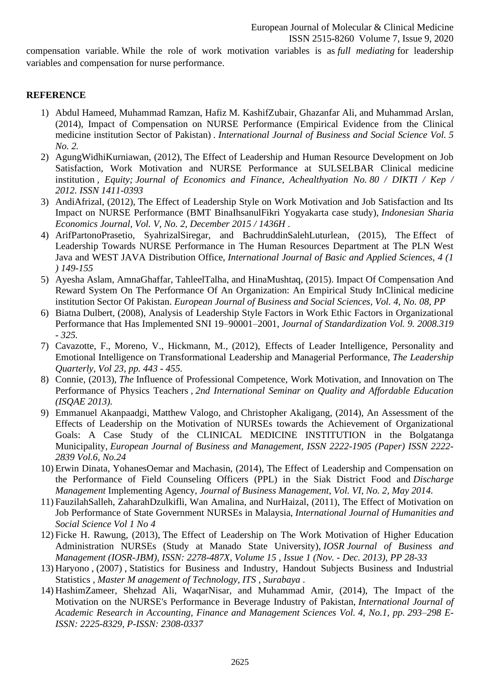compensation variable. While the role of work motivation variables is as *full mediating* for leadership variables and compensation for nurse performance.

#### **REFERENCE**

- 1) Abdul Hameed, Muhammad Ramzan, Hafiz M. KashifZubair, Ghazanfar Ali, and Muhammad Arslan, (2014), Impact of Compensation on NURSE Performance (Empirical Evidence from the Clinical medicine institution Sector of Pakistan) *. International Journal of Business and Social Science Vol. 5 No. 2.*
- 2) AgungWidhiKurniawan, (2012), The Effect of Leadership and Human Resource Development on Job Satisfaction, Work Motivation and NURSE Performance at SULSELBAR Clinical medicine institution *, Equity; Journal of Economics and Finance, Achealthyation No. 80 / DIKTI / Kep / 2012. ISSN 1411-0393*
- 3) AndiAfrizal, (2012), The Effect of Leadership Style on Work Motivation and Job Satisfaction and Its Impact on NURSE Performance (BMT BinaIhsanulFikri Yogyakarta case study), *Indonesian Sharia Economics Journal, Vol. V, No. 2, December 2015 / 1436H* .
- 4) ArifPartonoPrasetio, SyahrizalSiregar, and BachruddinSalehLuturlean, (2015), The Effect of Leadership Towards NURSE Performance in The Human Resources Department at The PLN West Java and WEST JAVA Distribution Office, *International Journal of Basic and Applied Sciences, 4 (1 ) 149-155*
- 5) Ayesha Aslam, AmnaGhaffar, TahleelTalha, and HinaMushtaq, (2015). Impact Of Compensation And Reward System On The Performance Of An Organization: An Empirical Study InClinical medicine institution Sector Of Pakistan. *European Journal of Business and Social Sciences, Vol. 4, No. 08, PP*
- 6) Biatna Dulbert, (2008), Analysis of Leadership Style Factors in Work Ethic Factors in Organizational Performance that Has Implemented SNI 19–90001–2001, *Journal of Standardization Vol. 9. 2008.319 - 325.*
- 7) Cavazotte, F., Moreno, V., Hickmann, M., (2012), Effects of Leader Intelligence, Personality and Emotional Intelligence on Transformational Leadership and Managerial Performance, *The Leadership Quarterly, Vol 23, pp. 443 - 455.*
- 8) Connie, (2013), *The* Influence of Professional Competence, Work Motivation, and Innovation on The Performance of Physics Teachers *, 2nd International Seminar on Quality and Affordable Education (ISQAE 2013).*
- 9) Emmanuel Akanpaadgi, Matthew Valogo, and Christopher Akaligang, (2014), An Assessment of the Effects of Leadership on the Motivation of NURSEs towards the Achievement of Organizational Goals: A Case Study of the CLINICAL MEDICINE INSTITUTION in the Bolgatanga Municipality, *European Journal of Business and Management, ISSN 2222-1905 (Paper) ISSN 2222- 2839 Vol.6, No.24*
- 10) Erwin Dinata, YohanesOemar and Machasin, (2014), The Effect of Leadership and Compensation on the Performance of Field Counseling Officers (PPL) in the Siak District Food and *Discharge Management* Implementing Agency, *Journal of Business Management, Vol. VI, No. 2, May 2014.*
- 11) FauzilahSalleh, ZaharahDzulkifli, Wan Amalina, and NurHaizal, (2011), The Effect of Motivation on Job Performance of State Government NURSEs in Malaysia, *International Journal of Humanities and Social Science Vol 1 No 4*
- 12) Ficke H. Rawung, (2013), The Effect of Leadership on The Work Motivation of Higher Education Administration NURSEs (Study at Manado State University), *IOSR Journal of Business and Management (IOSR-JBM), ISSN: 2278-487X, Volume 15 , Issue 1 (Nov. - Dec. 2013), PP 28-33*
- 13) Haryono , (2007) , Statistics for Business and Industry, Handout Subjects Business and Industrial Statistics *, Master M anagement of Technology, ITS , Surabaya* .
- 14) HashimZameer, Shehzad Ali, WaqarNisar, and Muhammad Amir, (2014), The Impact of the Motivation on the NURSE's Performance in Beverage Industry of Pakistan, *International Journal of Academic Research in Accounting, Finance and Management Sciences Vol. 4, No.1, pp. 293–298 E-ISSN: 2225-8329, P-ISSN: 2308-0337*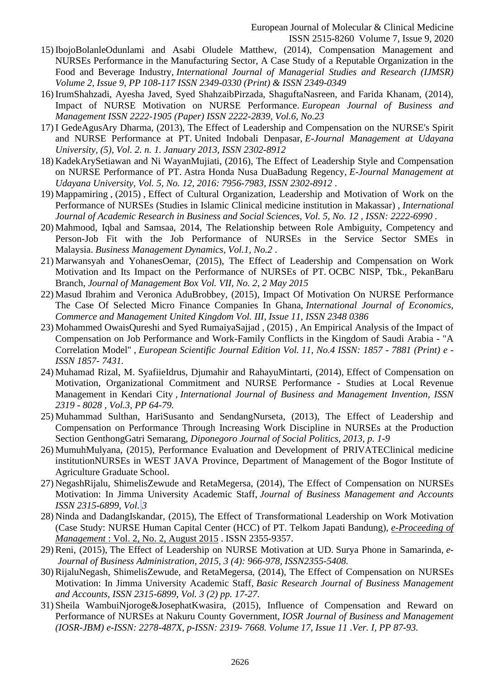- 15) IbojoBolanleOdunlami and Asabi Oludele Matthew, (2014), Compensation Management and NURSEs Performance in the Manufacturing Sector, A Case Study of a Reputable Organization in the Food and Beverage Industry, *International Journal of Managerial Studies and Research (IJMSR) Volume 2, Issue 9, PP 108-117 ISSN 2349-0330 (Print) & ISSN 2349-0349*
- 16) IrumShahzadi, Ayesha Javed, Syed ShahzaibPirzada, ShaguftaNasreen, and Farida Khanam, (2014), Impact of NURSE Motivation on NURSE Performance. *European Journal of Business and Management ISSN 2222-1905 (Paper) ISSN 2222-2839, Vol.6, No.23*
- 17) I GedeAgusAry Dharma, (2013), The Effect of Leadership and Compensation on the NURSE's Spirit and NURSE Performance at PT. United Indobali Denpasar, *E-Journal Management at Udayana University, (5), Vol. 2. n. 1. January 2013, ISSN 2302-8912*
- 18) KadekArySetiawan and Ni WayanMujiati, (2016), The Effect of Leadership Style and Compensation on NURSE Performance of PT. Astra Honda Nusa DuaBadung Regency, *E-Journal Management at Udayana University, Vol. 5, No. 12, 2016: 7956-7983, ISSN 2302-8912* .
- 19) Mappamiring , (2015) , Effect of Cultural Organization, Leadership and Motivation of Work on the Performance of NURSEs (Studies in Islamic Clinical medicine institution in Makassar) , *International Journal of Academic Research in Business and Social Sciences, Vol. 5, No. 12 , ISSN: 2222-6990 .*
- 20) Mahmood, Iqbal and Samsaa, 2014, The Relationship between Role Ambiguity, Competency and Person-Job Fit with the Job Performance of NURSEs in the Service Sector SMEs in Malaysia. *Business Management Dynamics, Vol.1, No.2* .
- 21) Marwansyah and YohanesOemar, (2015), The Effect of Leadership and Compensation on Work Motivation and Its Impact on the Performance of NURSEs of PT. OCBC NISP, Tbk., PekanBaru Branch, *Journal of Management Box Vol. VII, No. 2, 2 May 2015*
- 22) Masud Ibrahim and Veronica AduBrobbey, (2015), Impact Of Motivation On NURSE Performance The Case Of Selected Micro Finance Companies In Ghana, *International Journal of Economics, Commerce and Management United Kingdom Vol. III, Issue 11, ISSN 2348 0386*
- 23) Mohammed OwaisQureshi and Syed RumaiyaSajjad , (2015) , An Empirical Analysis of the Impact of Compensation on Job Performance and Work-Family Conflicts in the Kingdom of Saudi Arabia - "A Correlation Model" , *European Scientific Journal Edition Vol. 11, No.4 ISSN: 1857 - 7881 (Print) e - ISSN 1857- 7431.*
- 24) Muhamad Rizal, M. SyafiieIdrus, Djumahir and RahayuMintarti, (2014), Effect of Compensation on Motivation, Organizational Commitment and NURSE Performance - Studies at Local Revenue Management in Kendari City *, International Journal of Business and Management Invention, ISSN 2319 - 8028 , Vol.3, PP 64-79.*
- 25) Muhammad Sulthan, HariSusanto and SendangNurseta, (2013), The Effect of Leadership and Compensation on Performance Through Increasing Work Discipline in NURSEs at the Production Section GenthongGatri Semarang, *Diponegoro Journal of Social Politics, 2013, p. 1-9*
- 26) MumuhMulyana, (2015), Performance Evaluation and Development of PRIVATEClinical medicine institutionNURSEs in WEST JAVA Province, Department of Management of the Bogor Institute of Agriculture Graduate School.
- 27) NegashRijalu, ShimelisZewude and RetaMegersa, (2014), The Effect of Compensation on NURSEs Motivation: In Jimma University Academic Staff, *Journal of Business Management and Accounts ISSN 2315-6899, Vol. 3*
- 28) Ninda and DadangIskandar, (2015), The Effect of Transformational Leadership on Work Motivation (Case Study: NURSE Human Capital Center (HCC) of PT. Telkom Japati Bandung), *[e-Proceeding of](https://translate.google.com/translate?hl=en&prev=_t&sl=id&tl=en&u=https://openlibrary.telkomuniversity.ac.id/home/epublication/id/43.html)  [Management](https://translate.google.com/translate?hl=en&prev=_t&sl=id&tl=en&u=https://openlibrary.telkomuniversity.ac.id/home/epublication/id/43.html)* [: Vol.](https://translate.google.com/translate?hl=en&prev=_t&sl=id&tl=en&u=https://openlibrary.telkomuniversity.ac.id/home/epublication/id/43.html) [2, No.](https://translate.google.com/translate?hl=en&prev=_t&sl=id&tl=en&u=https://openlibrary.telkomuniversity.ac.id/home/epublication/id/43.html) [2, August 2015](https://translate.google.com/translate?hl=en&prev=_t&sl=id&tl=en&u=https://openlibrary.telkomuniversity.ac.id/home/epublication/id/43.html) . ISSN 2355-9357.
- 29) Reni, (2015), The Effect of Leadership on NURSE Motivation at UD. Surya Phone in Samarinda, *e-Journal of Business Administration, 2015, 3 (4): 966-978, ISSN2355-5408.*
- 30) RijaluNegash, ShimelisZewude, and RetaMegersa, (2014), The Effect of Compensation on NURSEs Motivation: In Jimma University Academic Staff, *Basic Research Journal of Business Management and Accounts, ISSN 2315-6899, Vol. 3 (2) pp. 17-27.*
- 31) Sheila WambuiNjoroge&JosephatKwasira, (2015), Influence of Compensation and Reward on Performance of NURSEs at Nakuru County Government, *IOSR Journal of Business and Management (IOSR-JBM) e-ISSN: 2278-487X, p-ISSN: 2319- 7668. Volume 17, Issue 11 .Ver. I, PP 87-93.*